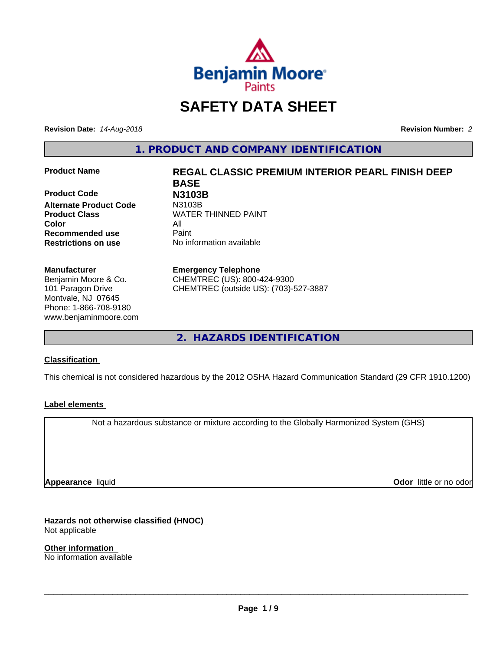

# **SAFETY DATA SHEET**

**Revision Date:** *14-Aug-2018* **Revision Number:** *2*

**1. PRODUCT AND COMPANY IDENTIFICATION**

**Product Code N3103B Alternate Product Code Color** All **Recommended use** Paint **Restrictions on use** No information available

#### **Manufacturer**

Benjamin Moore & Co. 101 Paragon Drive Montvale, NJ 07645 Phone: 1-866-708-9180 www.benjaminmoore.com

# **Product Name REGAL CLASSIC PREMIUM INTERIOR PEARL FINISH DEEP BASE Product Class WATER THINNED PAINT**

#### **Emergency Telephone**

CHEMTREC (US): 800-424-9300 CHEMTREC (outside US): (703)-527-3887

**2. HAZARDS IDENTIFICATION**

### **Classification**

This chemical is not considered hazardous by the 2012 OSHA Hazard Communication Standard (29 CFR 1910.1200)

### **Label elements**

Not a hazardous substance or mixture according to the Globally Harmonized System (GHS)

**Appearance** liquid

**Odor** little or no odor

**Hazards not otherwise classified (HNOC)** Not applicable

**Other information** No information available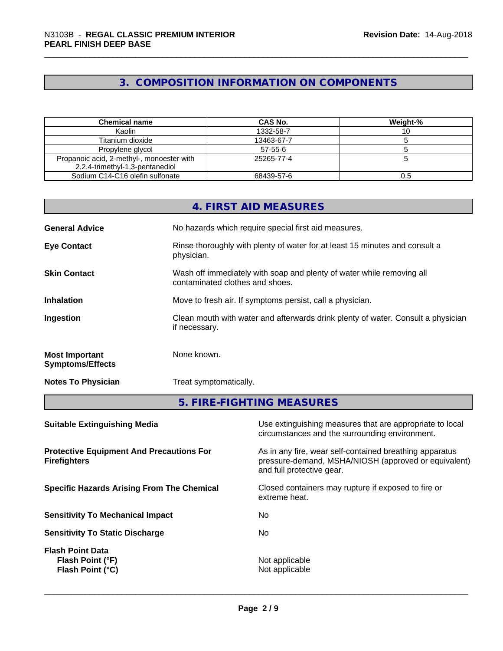# **3. COMPOSITION INFORMATION ON COMPONENTS**

| <b>Chemical name</b>                                                         | CAS No.       | Weight-% |
|------------------------------------------------------------------------------|---------------|----------|
| Kaolin                                                                       | 1332-58-7     |          |
| Titanium dioxide                                                             | 13463-67-7    |          |
| Propylene glycol                                                             | $57 - 55 - 6$ |          |
| Propanoic acid, 2-methyl-, monoester with<br>2,2,4-trimethyl-1,3-pentanediol | 25265-77-4    |          |
| Sodium C14-C16 olefin sulfonate                                              | 68439-57-6    |          |

|                                                  | 4. FIRST AID MEASURES                                                                                    |
|--------------------------------------------------|----------------------------------------------------------------------------------------------------------|
| <b>General Advice</b>                            | No hazards which require special first aid measures.                                                     |
| <b>Eye Contact</b>                               | Rinse thoroughly with plenty of water for at least 15 minutes and consult a<br>physician.                |
| <b>Skin Contact</b>                              | Wash off immediately with soap and plenty of water while removing all<br>contaminated clothes and shoes. |
| <b>Inhalation</b>                                | Move to fresh air. If symptoms persist, call a physician.                                                |
| Ingestion                                        | Clean mouth with water and afterwards drink plenty of water. Consult a physician<br>if necessary.        |
| <b>Most Important</b><br><b>Symptoms/Effects</b> | None known.                                                                                              |
| <b>Notes To Physician</b>                        | Treat symptomatically.                                                                                   |
|                                                  | 5. FIRE-FIGHTING MEASURES                                                                                |

| Use extinguishing measures that are appropriate to local<br>circumstances and the surrounding environment.                                   |
|----------------------------------------------------------------------------------------------------------------------------------------------|
| As in any fire, wear self-contained breathing apparatus<br>pressure-demand, MSHA/NIOSH (approved or equivalent)<br>and full protective gear. |
| Closed containers may rupture if exposed to fire or<br>extreme heat.                                                                         |
| No.                                                                                                                                          |
| No.                                                                                                                                          |
| Not applicable<br>Not applicable                                                                                                             |
|                                                                                                                                              |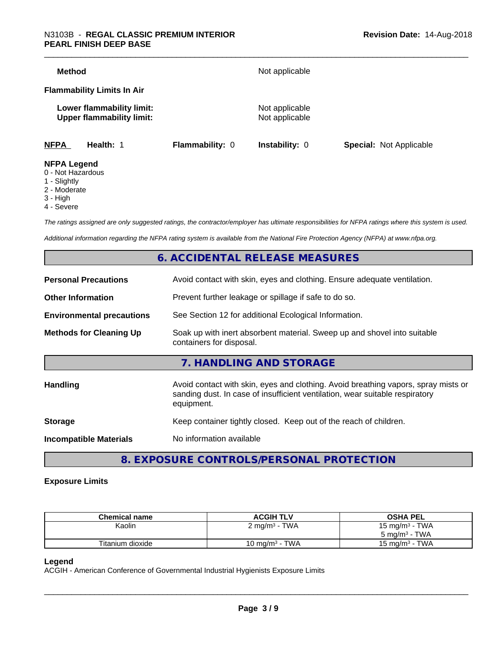| Method                                  |                                                               |                        | Not applicable                   |                                |
|-----------------------------------------|---------------------------------------------------------------|------------------------|----------------------------------|--------------------------------|
|                                         | <b>Flammability Limits In Air</b>                             |                        |                                  |                                |
|                                         | Lower flammability limit:<br><b>Upper flammability limit:</b> |                        | Not applicable<br>Not applicable |                                |
| <b>NFPA</b>                             | Health: 1                                                     | <b>Flammability: 0</b> | <b>Instability: 0</b>            | <b>Special: Not Applicable</b> |
| <b>NFPA Legend</b><br>0 - Not Hazardous |                                                               |                        |                                  |                                |

- 1 Slightly
- 
- 2 Moderate
- 3 High
- 4 Severe

*The ratings assigned are only suggested ratings, the contractor/employer has ultimate responsibilities for NFPA ratings where this system is used.*

*Additional information regarding the NFPA rating system is available from the National Fire Protection Agency (NFPA) at www.nfpa.org.*

# **6. ACCIDENTAL RELEASE MEASURES**

| <b>Personal Precautions</b>      | Avoid contact with skin, eyes and clothing. Ensure adequate ventilation.                                                                                                         |  |
|----------------------------------|----------------------------------------------------------------------------------------------------------------------------------------------------------------------------------|--|
| <b>Other Information</b>         | Prevent further leakage or spillage if safe to do so.                                                                                                                            |  |
| <b>Environmental precautions</b> | See Section 12 for additional Ecological Information.                                                                                                                            |  |
| <b>Methods for Cleaning Up</b>   | Soak up with inert absorbent material. Sweep up and shovel into suitable<br>containers for disposal.                                                                             |  |
|                                  | 7. HANDLING AND STORAGE                                                                                                                                                          |  |
| Handling                         | Avoid contact with skin, eyes and clothing. Avoid breathing vapors, spray mists or<br>sanding dust. In case of insufficient ventilation, wear suitable respiratory<br>equipment. |  |
| <b>Storage</b>                   | Keep container tightly closed. Keep out of the reach of children.                                                                                                                |  |
| <b>Incompatible Materials</b>    | No information available                                                                                                                                                         |  |
|                                  |                                                                                                                                                                                  |  |

**8. EXPOSURE CONTROLS/PERSONAL PROTECTION**

#### **Exposure Limits**

| <b>Chemical name</b> | <b>ACGIH TLV</b>                     | <b>OSHA PEL</b>                   |
|----------------------|--------------------------------------|-----------------------------------|
| Kaolin               | TWA<br>$\angle$ mg/m <sup>3</sup>    | - TWA<br>15 mg/m $3$              |
|                      |                                      | TWA<br>$5 \text{ ma/m}^3$ -       |
| Titanium dioxide     | <b>TWA</b><br>10 mg/m <sup>3</sup> - | <b>TWA</b><br>$15 \text{ ma/m}^3$ |

#### **Legend**

ACGIH - American Conference of Governmental Industrial Hygienists Exposure Limits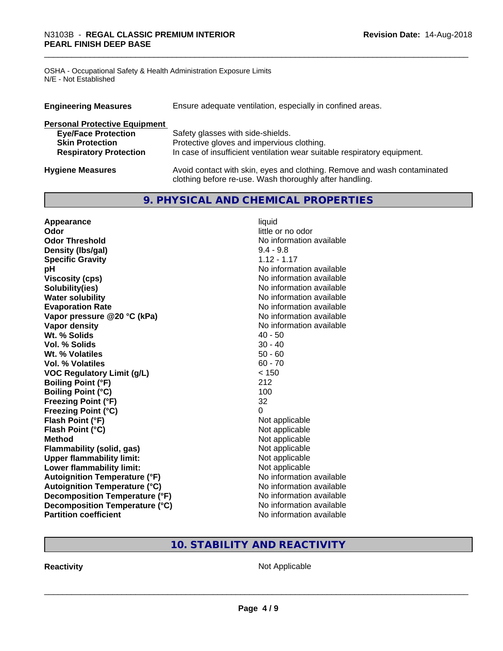OSHA - Occupational Safety & Health Administration Exposure Limits N/E - Not Established

| <b>Engineering Measures</b>          | Ensure adequate ventilation, especially in confined areas.                                                                          |  |  |  |  |
|--------------------------------------|-------------------------------------------------------------------------------------------------------------------------------------|--|--|--|--|
| <b>Personal Protective Equipment</b> |                                                                                                                                     |  |  |  |  |
| <b>Eye/Face Protection</b>           | Safety glasses with side-shields.                                                                                                   |  |  |  |  |
| <b>Skin Protection</b>               | Protective gloves and impervious clothing.                                                                                          |  |  |  |  |
| <b>Respiratory Protection</b>        | In case of insufficient ventilation wear suitable respiratory equipment.                                                            |  |  |  |  |
| <b>Hygiene Measures</b>              | Avoid contact with skin, eyes and clothing. Remove and wash contaminated<br>clothing before re-use. Wash thoroughly after handling. |  |  |  |  |

# **9. PHYSICAL AND CHEMICAL PROPERTIES**

| Appearance                           | liquid                   |
|--------------------------------------|--------------------------|
| Odor                                 | little or no odor        |
| <b>Odor Threshold</b>                | No information available |
| Density (Ibs/gal)                    | $9.4 - 9.8$              |
| <b>Specific Gravity</b>              | $1.12 - 1.17$            |
| рH                                   | No information available |
| <b>Viscosity (cps)</b>               | No information available |
| Solubility(ies)                      | No information available |
| <b>Water solubility</b>              | No information available |
| <b>Evaporation Rate</b>              | No information available |
| Vapor pressure @20 °C (kPa)          | No information available |
| Vapor density                        | No information available |
| Wt. % Solids                         | $40 - 50$                |
| Vol. % Solids                        | $30 - 40$                |
| Wt. % Volatiles                      | $50 - 60$                |
| Vol. % Volatiles                     | $60 - 70$                |
| <b>VOC Regulatory Limit (g/L)</b>    | < 150                    |
| <b>Boiling Point (°F)</b>            | 212                      |
| <b>Boiling Point (°C)</b>            | 100                      |
| <b>Freezing Point (°F)</b>           | 32                       |
| <b>Freezing Point (°C)</b>           | 0                        |
| Flash Point (°F)                     | Not applicable           |
| Flash Point (°C)                     | Not applicable           |
| <b>Method</b>                        | Not applicable           |
| <b>Flammability (solid, gas)</b>     | Not applicable           |
| <b>Upper flammability limit:</b>     | Not applicable           |
| Lower flammability limit:            | Not applicable           |
| <b>Autoignition Temperature (°F)</b> | No information available |
| <b>Autoignition Temperature (°C)</b> | No information available |
| Decomposition Temperature (°F)       | No information available |
| Decomposition Temperature (°C)       | No information available |
| <b>Partition coefficient</b>         | No information available |

# **10. STABILITY AND REACTIVITY**

**Reactivity Not Applicable** Not Applicable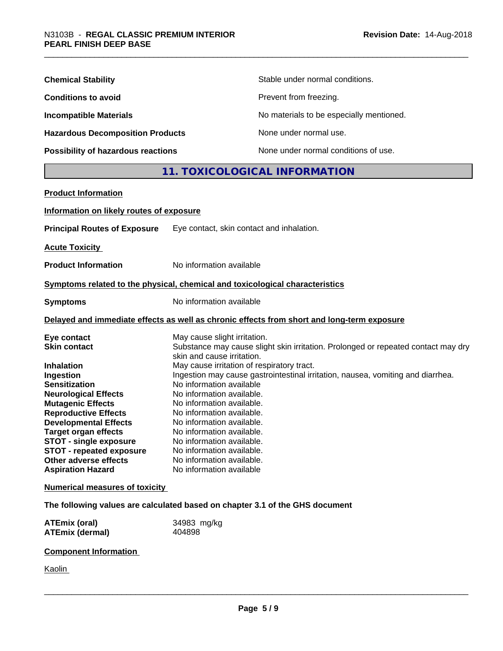| <b>Chemical Stability</b>               | Stable under normal conditions.          |
|-----------------------------------------|------------------------------------------|
| <b>Conditions to avoid</b>              | Prevent from freezing.                   |
| <b>Incompatible Materials</b>           | No materials to be especially mentioned. |
| <b>Hazardous Decomposition Products</b> | None under normal use.                   |
| Possibility of hazardous reactions      | None under normal conditions of use.     |

# **11. TOXICOLOGICAL INFORMATION**

| <b>Product Information</b>               |                                                                                            |
|------------------------------------------|--------------------------------------------------------------------------------------------|
| Information on likely routes of exposure |                                                                                            |
| <b>Principal Routes of Exposure</b>      | Eye contact, skin contact and inhalation.                                                  |
| <b>Acute Toxicity</b>                    |                                                                                            |
| <b>Product Information</b>               | No information available                                                                   |
|                                          | Symptoms related to the physical, chemical and toxicological characteristics               |
| <b>Symptoms</b>                          | No information available                                                                   |
|                                          | Delayed and immediate effects as well as chronic effects from short and long-term exposure |
| Eye contact                              | May cause slight irritation.                                                               |
| <b>Skin contact</b>                      | Substance may cause slight skin irritation. Prolonged or repeated contact may dry          |
| <b>Inhalation</b>                        | skin and cause irritation.<br>May cause irritation of respiratory tract.                   |
| Ingestion                                | Ingestion may cause gastrointestinal irritation, nausea, vomiting and diarrhea.            |
| <b>Sensitization</b>                     | No information available                                                                   |
| <b>Neurological Effects</b>              | No information available.                                                                  |
| <b>Mutagenic Effects</b>                 | No information available.                                                                  |
| <b>Reproductive Effects</b>              | No information available.                                                                  |
| <b>Developmental Effects</b>             | No information available.                                                                  |
| <b>Target organ effects</b>              | No information available.                                                                  |
| <b>STOT - single exposure</b>            | No information available.                                                                  |
| <b>STOT - repeated exposure</b>          | No information available.                                                                  |
| Other adverse effects                    | No information available.                                                                  |
| <b>Aspiration Hazard</b>                 | No information available                                                                   |
| <b>Numerical measures of toxicity</b>    |                                                                                            |
|                                          | The following values are calculated based on chapter 3.1 of the GHS document               |
| <b>ATEmix (oral)</b>                     | 34983 mg/kg                                                                                |
| <b>ATEmix (dermal)</b>                   | 404898                                                                                     |
| <b>Component Information</b>             |                                                                                            |

**Kaolin**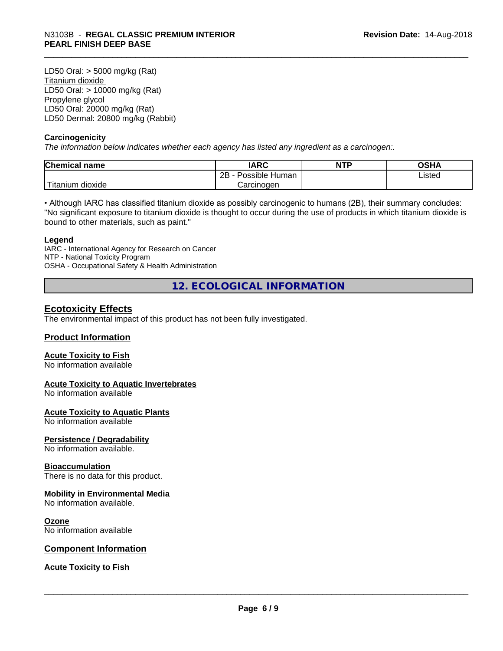LD50 Oral: > 5000 mg/kg (Rat) Titanium dioxide LD50 Oral: > 10000 mg/kg (Rat) Propylene glycol LD50 Oral: 20000 mg/kg (Rat) LD50 Dermal: 20800 mg/kg (Rabbit)

#### **Carcinogenicity**

*The information below indicateswhether each agency has listed any ingredient as a carcinogen:.*

| <b>Chemical</b><br>name            | <b>IARC</b>                    | <b>NTP</b> | ດເ⊔∧<br>∪J∏≁ |
|------------------------------------|--------------------------------|------------|--------------|
|                                    | . .<br>2B<br>Human<br>Possible |            | Listed       |
| .<br>. dioxide .<br><b>itanium</b> | Carcinogen                     |            |              |

• Although IARC has classified titanium dioxide as possibly carcinogenic to humans (2B), their summary concludes: "No significant exposure to titanium dioxide is thought to occur during the use of products in which titanium dioxide is bound to other materials, such as paint."

#### **Legend**

IARC - International Agency for Research on Cancer NTP - National Toxicity Program OSHA - Occupational Safety & Health Administration

**12. ECOLOGICAL INFORMATION**

### **Ecotoxicity Effects**

The environmental impact of this product has not been fully investigated.

#### **Product Information**

#### **Acute Toxicity to Fish**

No information available

#### **Acute Toxicity to Aquatic Invertebrates**

No information available

#### **Acute Toxicity to Aquatic Plants**

No information available

#### **Persistence / Degradability**

No information available.

#### **Bioaccumulation**

There is no data for this product.

#### **Mobility in Environmental Media**

No information available.

#### **Ozone**

No information available

#### **Component Information**

#### **Acute Toxicity to Fish**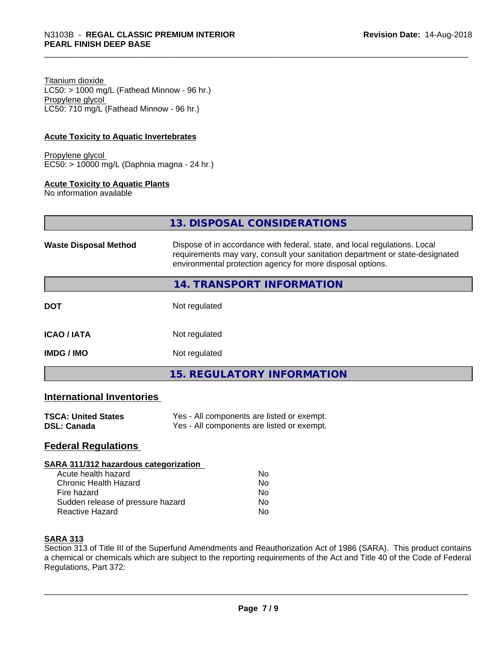Titanium dioxide  $LC50:$  > 1000 mg/L (Fathead Minnow - 96 hr.) Propylene glycol LC50: 710 mg/L (Fathead Minnow - 96 hr.)

#### **Acute Toxicity to Aquatic Invertebrates**

Propylene glycol EC50: > 10000 mg/L (Daphnia magna - 24 hr.)

#### **Acute Toxicity to Aquatic Plants**

No information available

| 13. DISPOSAL CONSIDERATIONS |  |
|-----------------------------|--|
|                             |  |

| Dispose of in accordance with federal, state, and local regulations. Local<br><b>Waste Disposal Method</b><br>requirements may vary, consult your sanitation department or state-designated<br>environmental protection agency for more disposal options. |                                   |  |
|-----------------------------------------------------------------------------------------------------------------------------------------------------------------------------------------------------------------------------------------------------------|-----------------------------------|--|
|                                                                                                                                                                                                                                                           | <b>14. TRANSPORT INFORMATION</b>  |  |
| <b>DOT</b>                                                                                                                                                                                                                                                | Not regulated                     |  |
| <b>ICAO/IATA</b>                                                                                                                                                                                                                                          | Not regulated                     |  |
| <b>IMDG / IMO</b>                                                                                                                                                                                                                                         | Not regulated                     |  |
|                                                                                                                                                                                                                                                           | <b>15. REGULATORY INFORMATION</b> |  |

#### **International Inventories**

| <b>TSCA: United States</b> | Yes - All components are listed or exempt. |
|----------------------------|--------------------------------------------|
| DSL: Canada                | Yes - All components are listed or exempt. |

### **Federal Regulations**

#### **SARA 311/312 hazardous categorization**

| Acute health hazard               | Nο |  |
|-----------------------------------|----|--|
| Chronic Health Hazard             | N٥ |  |
| Fire hazard                       | N٥ |  |
| Sudden release of pressure hazard | Nο |  |
| Reactive Hazard                   | N٥ |  |

#### **SARA 313**

Section 313 of Title III of the Superfund Amendments and Reauthorization Act of 1986 (SARA). This product contains a chemical or chemicals which are subject to the reporting requirements of the Act and Title 40 of the Code of Federal Regulations, Part 372: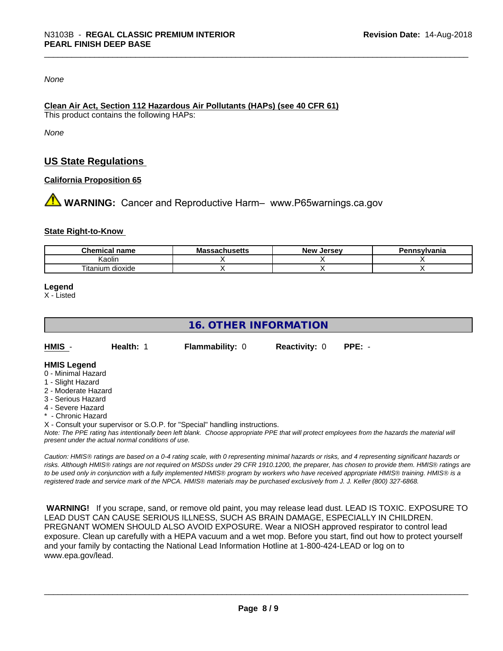#### *None*

#### **Clean Air Act,Section 112 Hazardous Air Pollutants (HAPs) (see 40 CFR 61)**

This product contains the following HAPs:

*None*

# **US State Regulations**

#### **California Proposition 65**

**AN** WARNING: Cancer and Reproductive Harm– www.P65warnings.ca.gov

#### **State Right-to-Know**

| Chemical<br>name              | - -<br><b>Massachusetts</b> | Jersev<br><b>N</b> QW<br>IVUV | <b>ennsvlvania</b> |
|-------------------------------|-----------------------------|-------------------------------|--------------------|
| Kaolir                        |                             |                               |                    |
| $\sim$<br>Titanium<br>dioxide |                             |                               |                    |

**Legend**

X - Listed

# **16. OTHER INFORMATION**

| HMIS - | Health: 1 | <b>Flam</b> |
|--------|-----------|-------------|
|        |           |             |

**Hytherm Health: PPE: - Reactivity: 0 <b>PPE:** -

#### **HMIS Legend**

- 0 Minimal Hazard
- 1 Slight Hazard
- 2 Moderate Hazard
- 3 Serious Hazard
- 4 Severe Hazard
- \* Chronic Hazard

X - Consult your supervisor or S.O.P. for "Special" handling instructions.

*Note: The PPE rating has intentionally been left blank. Choose appropriate PPE that will protect employees from the hazards the material will present under the actual normal conditions of use.*

*Caution: HMISÒ ratings are based on a 0-4 rating scale, with 0 representing minimal hazards or risks, and 4 representing significant hazards or risks. Although HMISÒ ratings are not required on MSDSs under 29 CFR 1910.1200, the preparer, has chosen to provide them. HMISÒ ratings are to be used only in conjunction with a fully implemented HMISÒ program by workers who have received appropriate HMISÒ training. HMISÒ is a registered trade and service mark of the NPCA. HMISÒ materials may be purchased exclusively from J. J. Keller (800) 327-6868.*

 **WARNING!** If you scrape, sand, or remove old paint, you may release lead dust. LEAD IS TOXIC. EXPOSURE TO LEAD DUST CAN CAUSE SERIOUS ILLNESS, SUCH AS BRAIN DAMAGE, ESPECIALLY IN CHILDREN. PREGNANT WOMEN SHOULD ALSO AVOID EXPOSURE.Wear a NIOSH approved respirator to control lead exposure. Clean up carefully with a HEPA vacuum and a wet mop. Before you start, find out how to protect yourself and your family by contacting the National Lead Information Hotline at 1-800-424-LEAD or log on to www.epa.gov/lead.